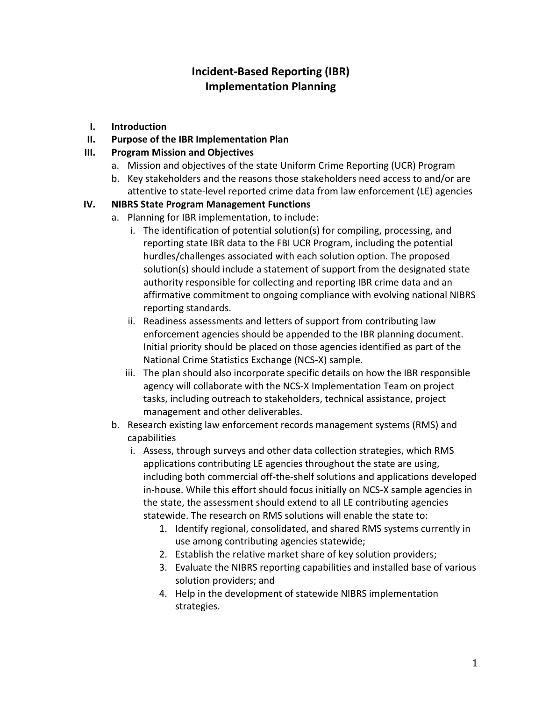# **Incident-Based Reporting (IBR) Implementation Planning**

- **I. Introduction**
- **II. Purpose of the IBR Implementation Plan**

#### **III. Program Mission and Objectives**

- a. Mission and objectives of the state Uniform Crime Reporting (UCR) Program
- b. Key stakeholders and the reasons those stakeholders need access to and/or are attentive to state-level reported crime data from law enforcement (LE) agencies

#### **IV. NIBRS State Program Management Functions**

- a. Planning for IBR implementation, to include:
	- i. The identification of potential solution(s) for compiling, processing, and reporting state IBR data to the FBI UCR Program, including the potential hurdles/challenges associated with each solution option. The proposed solution(s) should include a statement of support from the designated state authority responsible for collecting and reporting IBR crime data and an affirmative commitment to ongoing compliance with evolving national NIBRS reporting standards.
	- ii. Readiness assessments and letters of support from contributing law enforcement agencies should be appended to the IBR planning document. Initial priority should be placed on those agencies identified as part of the National Crime Statistics Exchange (NCS-X) sample.
	- iii. The plan should also incorporate specific details on how the IBR responsible agency will collaborate with the NCS-X Implementation Team on project tasks, including outreach to stakeholders, technical assistance, project management and other deliverables.
- b. Research existing law enforcement records management systems (RMS) and capabilities
	- i. Assess, through surveys and other data collection strategies, which RMS applications contributing LE agencies throughout the state are using, including both commercial off-the-shelf solutions and applications developed in-house. While this effort should focus initially on NCS-X sample agencies in the state, the assessment should extend to all LE contributing agencies statewide. The research on RMS solutions will enable the state to:
		- 1. Identify regional, consolidated, and shared RMS systems currently in use among contributing agencies statewide;
		- 2. Establish the relative market share of key solution providers;
		- 3. Evaluate the NIBRS reporting capabilities and installed base of various solution providers; and
		- 4. Help in the development of statewide NIBRS implementation strategies.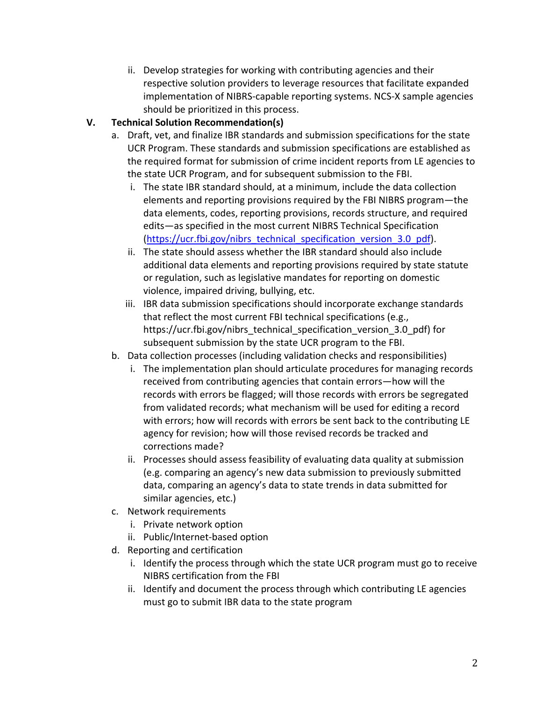ii. Develop strategies for working with contributing agencies and their respective solution providers to leverage resources that facilitate expanded implementation of NIBRS-capable reporting systems. NCS-X sample agencies should be prioritized in this process.

## **V. Technical Solution Recommendation(s)**

- a. Draft, vet, and finalize IBR standards and submission specifications for the state UCR Program. These standards and submission specifications are established as the required format for submission of crime incident reports from LE agencies to the state UCR Program, and for subsequent submission to the FBI.
	- i. The state IBR standard should, at a minimum, include the data collection elements and reporting provisions required by the FBI NIBRS program—the data elements, codes, reporting provisions, records structure, and required edits—as specified in the most current NIBRS Technical Specification [\(https://ucr.fbi.gov/nibrs\\_technical\\_specification\\_version\\_3.0\\_pdf\)](https://ucr.fbi.gov/nibrs_technical_specification_version_3.0_pdf).
	- ii. The state should assess whether the IBR standard should also include additional data elements and reporting provisions required by state statute or regulation, such as legislative mandates for reporting on domestic violence, impaired driving, bullying, etc.
	- iii. IBR data submission specifications should incorporate exchange standards that reflect the most current FBI technical specifications (e.g., https://ucr.fbi.gov/nibrs\_technical\_specification\_version\_3.0\_pdf) for subsequent submission by the state UCR program to the FBI.
- b. Data collection processes (including validation checks and responsibilities)
	- i. The implementation plan should articulate procedures for managing records received from contributing agencies that contain errors—how will the records with errors be flagged; will those records with errors be segregated from validated records; what mechanism will be used for editing a record with errors; how will records with errors be sent back to the contributing LE agency for revision; how will those revised records be tracked and corrections made?
	- ii. Processes should assess feasibility of evaluating data quality at submission (e.g. comparing an agency's new data submission to previously submitted data, comparing an agency's data to state trends in data submitted for similar agencies, etc.)
- c. Network requirements
	- i. Private network option
	- ii. Public/Internet-based option
- d. Reporting and certification
	- i. Identify the process through which the state UCR program must go to receive NIBRS certification from the FBI
	- ii. Identify and document the process through which contributing LE agencies must go to submit IBR data to the state program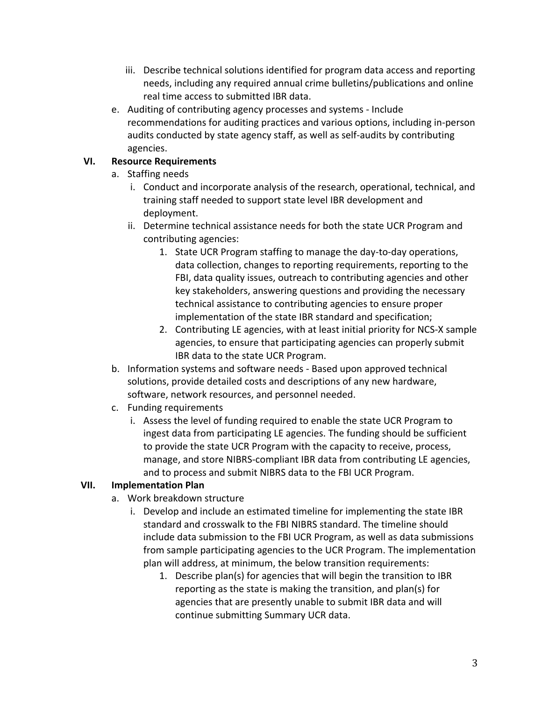- iii. Describe technical solutions identified for program data access and reporting needs, including any required annual crime bulletins/publications and online real time access to submitted IBR data.
- e. Auditing of contributing agency processes and systems Include recommendations for auditing practices and various options, including in-person audits conducted by state agency staff, as well as self-audits by contributing agencies.

### **VI. Resource Requirements**

- a. Staffing needs
	- i. Conduct and incorporate analysis of the research, operational, technical, and training staff needed to support state level IBR development and deployment.
	- ii. Determine technical assistance needs for both the state UCR Program and contributing agencies:
		- 1. State UCR Program staffing to manage the day-to-day operations, data collection, changes to reporting requirements, reporting to the FBI, data quality issues, outreach to contributing agencies and other key stakeholders, answering questions and providing the necessary technical assistance to contributing agencies to ensure proper implementation of the state IBR standard and specification;
		- 2. Contributing LE agencies, with at least initial priority for NCS-X sample agencies, to ensure that participating agencies can properly submit IBR data to the state UCR Program.
- b. Information systems and software needs Based upon approved technical solutions, provide detailed costs and descriptions of any new hardware, software, network resources, and personnel needed.
- c. Funding requirements
	- i. Assess the level of funding required to enable the state UCR Program to ingest data from participating LE agencies. The funding should be sufficient to provide the state UCR Program with the capacity to receive, process, manage, and store NIBRS-compliant IBR data from contributing LE agencies, and to process and submit NIBRS data to the FBI UCR Program.

## **VII. Implementation Plan**

- a. Work breakdown structure
	- i. Develop and include an estimated timeline for implementing the state IBR standard and crosswalk to the FBI NIBRS standard. The timeline should include data submission to the FBI UCR Program, as well as data submissions from sample participating agencies to the UCR Program. The implementation plan will address, at minimum, the below transition requirements:
		- 1. Describe plan(s) for agencies that will begin the transition to IBR reporting as the state is making the transition, and plan(s) for agencies that are presently unable to submit IBR data and will continue submitting Summary UCR data.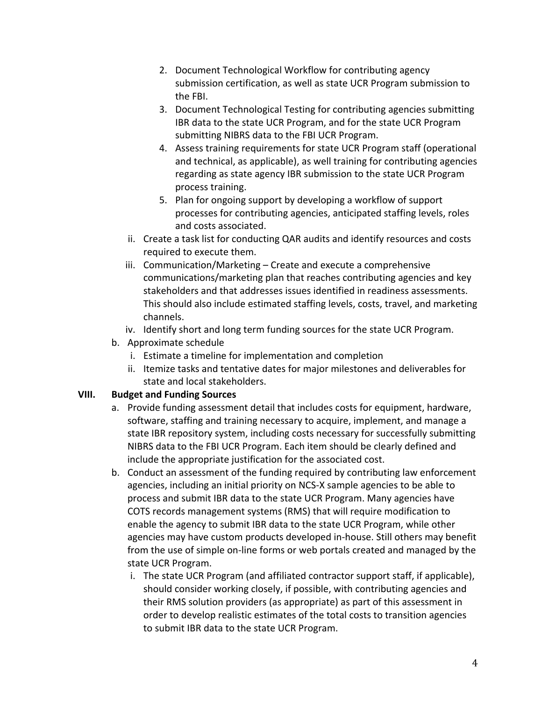- 2. Document Technological Workflow for contributing agency submission certification, as well as state UCR Program submission to the FBI.
- 3. Document Technological Testing for contributing agencies submitting IBR data to the state UCR Program, and for the state UCR Program submitting NIBRS data to the FBI UCR Program.
- 4. Assess training requirements for state UCR Program staff (operational and technical, as applicable), as well training for contributing agencies regarding as state agency IBR submission to the state UCR Program process training.
- 5. Plan for ongoing support by developing a workflow of support processes for contributing agencies, anticipated staffing levels, roles and costs associated.
- ii. Create a task list for conducting QAR audits and identify resources and costs required to execute them.
- iii. Communication/Marketing Create and execute a comprehensive communications/marketing plan that reaches contributing agencies and key stakeholders and that addresses issues identified in readiness assessments. This should also include estimated staffing levels, costs, travel, and marketing channels.
- iv. Identify short and long term funding sources for the state UCR Program.
- b. Approximate schedule
	- i. Estimate a timeline for implementation and completion
	- ii. Itemize tasks and tentative dates for major milestones and deliverables for state and local stakeholders.

#### **VIII. Budget and Funding Sources**

- a. Provide funding assessment detail that includes costs for equipment, hardware, software, staffing and training necessary to acquire, implement, and manage a state IBR repository system, including costs necessary for successfully submitting NIBRS data to the FBI UCR Program. Each item should be clearly defined and include the appropriate justification for the associated cost.
- b. Conduct an assessment of the funding required by contributing law enforcement agencies, including an initial priority on NCS-X sample agencies to be able to process and submit IBR data to the state UCR Program. Many agencies have COTS records management systems (RMS) that will require modification to enable the agency to submit IBR data to the state UCR Program, while other agencies may have custom products developed in-house. Still others may benefit from the use of simple on-line forms or web portals created and managed by the state UCR Program.
	- i. The state UCR Program (and affiliated contractor support staff, if applicable), should consider working closely, if possible, with contributing agencies and their RMS solution providers (as appropriate) as part of this assessment in order to develop realistic estimates of the total costs to transition agencies to submit IBR data to the state UCR Program.